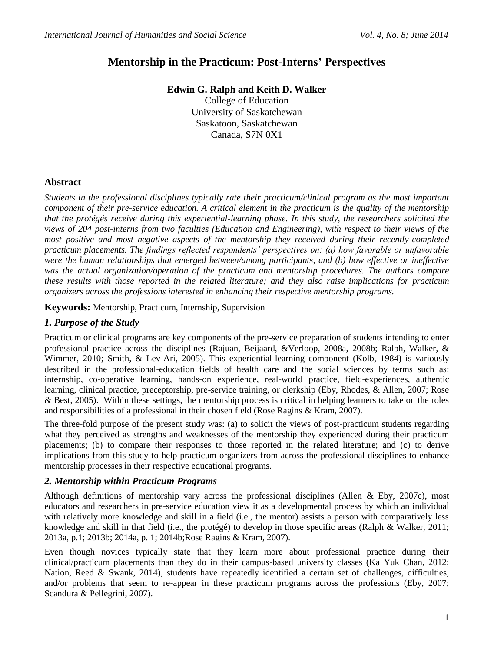# **Mentorship in the Practicum: Post-Interns' Perspectives**

# **Edwin G. Ralph and Keith D. Walker**

College of Education University of Saskatchewan Saskatoon, Saskatchewan Canada, S7N 0X1

# **Abstract**

*Students in the professional disciplines typically rate their practicum/clinical program as the most important component of their pre-service education. A critical element in the practicum is the quality of the mentorship that the protégés receive during this experiential-learning phase. In this study, the researchers solicited the views of 204 post-interns from two faculties (Education and Engineering), with respect to their views of the most positive and most negative aspects of the mentorship they received during their recently-completed practicum placements. The findings reflected respondents' perspectives on: (a) how favorable or unfavorable were the human relationships that emerged between/among participants, and (b) how effective or ineffective was the actual organization/operation of the practicum and mentorship procedures. The authors compare these results with those reported in the related literature; and they also raise implications for practicum organizers across the professions interested in enhancing their respective mentorship programs.*

# **Keywords:** Mentorship, Practicum, Internship, Supervision

# *1. Purpose of the Study*

Practicum or clinical programs are key components of the pre-service preparation of students intending to enter professional practice across the disciplines (Rajuan, Beijaard, &Verloop, 2008a, 2008b; Ralph, Walker, & Wimmer, 2010; Smith, & Lev-Ari, 2005). This experiential-learning component (Kolb, 1984) is variously described in the professional-education fields of health care and the social sciences by terms such as: internship, co-operative learning, hands-on experience, real-world practice, field-experiences, authentic learning, clinical practice, preceptorship, pre-service training, or clerkship (Eby, Rhodes, & Allen, 2007; Rose & Best, 2005). Within these settings, the mentorship process is critical in helping learners to take on the roles and responsibilities of a professional in their chosen field (Rose Ragins & Kram, 2007).

The three-fold purpose of the present study was: (a) to solicit the views of post-practicum students regarding what they perceived as strengths and weaknesses of the mentorship they experienced during their practicum placements; (b) to compare their responses to those reported in the related literature; and (c) to derive implications from this study to help practicum organizers from across the professional disciplines to enhance mentorship processes in their respective educational programs.

# *2. Mentorship within Practicum Programs*

Although definitions of mentorship vary across the professional disciplines (Allen & Eby, 2007c), most educators and researchers in pre-service education view it as a developmental process by which an individual with relatively more knowledge and skill in a field (i.e., the mentor) assists a person with comparatively less knowledge and skill in that field (i.e., the protégé) to develop in those specific areas (Ralph & Walker, 2011; 2013a, p.1; 2013b; 2014a, p. 1; 2014b;Rose Ragins & Kram, 2007).

Even though novices typically state that they learn more about professional practice during their clinical/practicum placements than they do in their campus-based university classes (Ka Yuk Chan, 2012; Nation, Reed & Swank, 2014), students have repeatedly identified a certain set of challenges, difficulties, and/or problems that seem to re-appear in these practicum programs across the professions (Eby, 2007; Scandura & Pellegrini, 2007).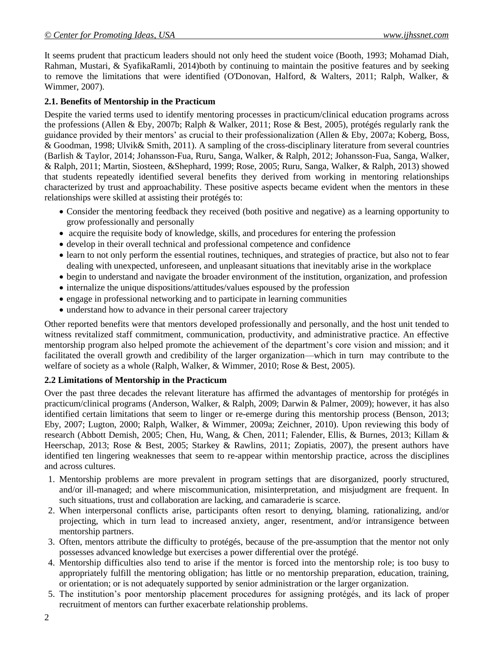It seems prudent that practicum leaders should not only heed the student voice (Booth, 1993; Mohamad Diah, Rahman, Mustari, & SyafikaRamli, 2014)both by continuing to maintain the positive features and by seeking to remove the limitations that were identified (O'Donovan, Halford, & Walters, 2011; Ralph, Walker, & Wimmer, 2007).

### **2.1. Benefits of Mentorship in the Practicum**

Despite the varied terms used to identify mentoring processes in practicum/clinical education programs across the professions (Allen & Eby, 2007b; Ralph & Walker, 2011; Rose & Best, 2005), protégés regularly rank the guidance provided by their mentors' as crucial to their professionalization (Allen & Eby, 2007a; Koberg, Boss, & Goodman, 1998; Ulvik& Smith, 2011). A sampling of the cross-disciplinary literature from several countries (Barlish & Taylor, 2014; Johansson-Fua, Ruru, Sanga, Walker, & Ralph, 2012; Johansson-Fua, Sanga, Walker, & Ralph, 2011; Martin, Siosteen, &Shephard, 1999; Rose, 2005; Ruru, Sanga, Walker, & Ralph, 2013) showed that students repeatedly identified several benefits they derived from working in mentoring relationships characterized by trust and approachability. These positive aspects became evident when the mentors in these relationships were skilled at assisting their protégés to:

- Consider the mentoring feedback they received (both positive and negative) as a learning opportunity to grow professionally and personally
- acquire the requisite body of knowledge, skills, and procedures for entering the profession
- develop in their overall technical and professional competence and confidence
- learn to not only perform the essential routines, techniques, and strategies of practice, but also not to fear dealing with unexpected, unforeseen, and unpleasant situations that inevitably arise in the workplace
- begin to understand and navigate the broader environment of the institution, organization, and profession
- internalize the unique dispositions/attitudes/values espoused by the profession
- engage in professional networking and to participate in learning communities
- understand how to advance in their personal career trajectory

Other reported benefits were that mentors developed professionally and personally, and the host unit tended to witness revitalized staff commitment, communication, productivity, and administrative practice. An effective mentorship program also helped promote the achievement of the department's core vision and mission; and it facilitated the overall growth and credibility of the larger organization—which in turn may contribute to the welfare of society as a whole (Ralph, Walker, & Wimmer, 2010; Rose & Best, 2005).

## **2.2 Limitations of Mentorship in the Practicum**

Over the past three decades the relevant literature has affirmed the advantages of mentorship for protégés in practicum/clinical programs (Anderson, Walker, & Ralph, 2009; Darwin & Palmer, 2009); however, it has also identified certain limitations that seem to linger or re-emerge during this mentorship process (Benson, 2013; Eby, 2007; Lugton, 2000; Ralph, Walker, & Wimmer, 2009a; Zeichner, 2010). Upon reviewing this body of research (Abbott Demish, 2005; Chen, Hu, Wang, & Chen, 2011; Falender, Ellis, & Burnes, 2013; Killam & Heerschap, 2013; Rose & Best, 2005; Starkey & Rawlins, 2011; Zopiatis, 2007), the present authors have identified ten lingering weaknesses that seem to re-appear within mentorship practice, across the disciplines and across cultures.

- 1. Mentorship problems are more prevalent in program settings that are disorganized, poorly structured, and/or ill-managed; and where miscommunication, misinterpretation, and misjudgment are frequent. In such situations, trust and collaboration are lacking, and camaraderie is scarce.
- 2. When interpersonal conflicts arise, participants often resort to denying, blaming, rationalizing, and/or projecting, which in turn lead to increased anxiety, anger, resentment, and/or intransigence between mentorship partners.
- 3. Often, mentors attribute the difficulty to protégés, because of the pre-assumption that the mentor not only possesses advanced knowledge but exercises a power differential over the protégé.
- 4. Mentorship difficulties also tend to arise if the mentor is forced into the mentorship role; is too busy to appropriately fulfill the mentoring obligation; has little or no mentorship preparation, education, training, or orientation; or is not adequately supported by senior administration or the larger organization.
- 5. The institution's poor mentorship placement procedures for assigning protégés, and its lack of proper recruitment of mentors can further exacerbate relationship problems.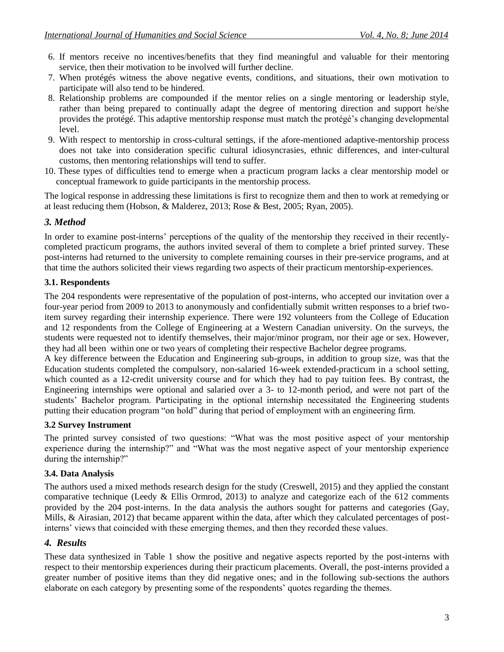- 6. If mentors receive no incentives/benefits that they find meaningful and valuable for their mentoring service, then their motivation to be involved will further decline.
- 7. When protégés witness the above negative events, conditions, and situations, their own motivation to participate will also tend to be hindered.
- 8. Relationship problems are compounded if the mentor relies on a single mentoring or leadership style, rather than being prepared to continually adapt the degree of mentoring direction and support he/she provides the protégé. This adaptive mentorship response must match the protégé's changing developmental level.
- 9. With respect to mentorship in cross-cultural settings, if the afore-mentioned adaptive-mentorship process does not take into consideration specific cultural idiosyncrasies, ethnic differences, and inter-cultural customs, then mentoring relationships will tend to suffer.
- 10. These types of difficulties tend to emerge when a practicum program lacks a clear mentorship model or conceptual framework to guide participants in the mentorship process.

The logical response in addressing these limitations is first to recognize them and then to work at remedying or at least reducing them (Hobson, & Malderez, 2013; Rose & Best, 2005; Ryan, 2005).

## *3. Method*

In order to examine post-interns' perceptions of the quality of the mentorship they received in their recentlycompleted practicum programs, the authors invited several of them to complete a brief printed survey. These post-interns had returned to the university to complete remaining courses in their pre-service programs, and at that time the authors solicited their views regarding two aspects of their practicum mentorship-experiences.

#### **3.1. Respondents**

The 204 respondents were representative of the population of post-interns, who accepted our invitation over a four-year period from 2009 to 2013 to anonymously and confidentially submit written responses to a brief twoitem survey regarding their internship experience. There were 192 volunteers from the College of Education and 12 respondents from the College of Engineering at a Western Canadian university. On the surveys, the students were requested not to identify themselves, their major/minor program, nor their age or sex. However, they had all been within one or two years of completing their respective Bachelor degree programs.

A key difference between the Education and Engineering sub-groups, in addition to group size, was that the Education students completed the compulsory, non-salaried 16-week extended-practicum in a school setting, which counted as a 12-credit university course and for which they had to pay tuition fees. By contrast, the Engineering internships were optional and salaried over a 3- to 12-month period, and were not part of the students' Bachelor program. Participating in the optional internship necessitated the Engineering students putting their education program "on hold" during that period of employment with an engineering firm.

#### **3.2 Survey Instrument**

The printed survey consisted of two questions: "What was the most positive aspect of your mentorship experience during the internship?" and "What was the most negative aspect of your mentorship experience during the internship?"

#### **3.4. Data Analysis**

The authors used a mixed methods research design for the study (Creswell, 2015) and they applied the constant comparative technique (Leedy & Ellis Ormrod, 2013) to analyze and categorize each of the 612 comments provided by the 204 post-interns. In the data analysis the authors sought for patterns and categories (Gay, Mills, & Airasian, 2012) that became apparent within the data, after which they calculated percentages of postinterns' views that coincided with these emerging themes, and then they recorded these values.

#### *4. Results*

These data synthesized in Table 1 show the positive and negative aspects reported by the post-interns with respect to their mentorship experiences during their practicum placements. Overall, the post-interns provided a greater number of positive items than they did negative ones; and in the following sub-sections the authors elaborate on each category by presenting some of the respondents' quotes regarding the themes.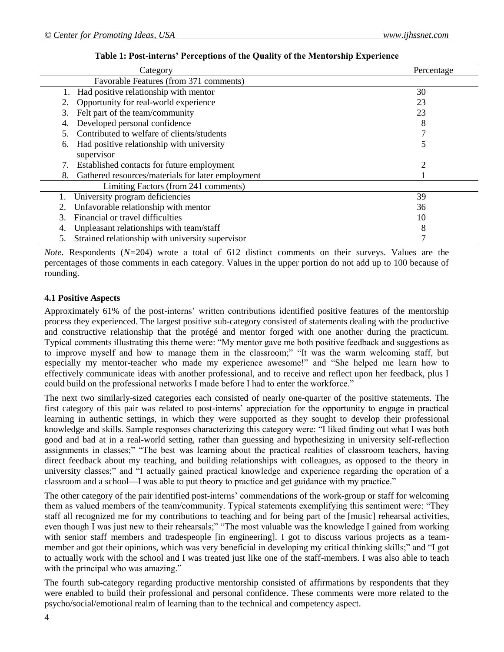| Category                                                | Percentage                  |
|---------------------------------------------------------|-----------------------------|
| Favorable Features (from 371 comments)                  |                             |
| Had positive relationship with mentor<br>1.             | 30                          |
| Opportunity for real-world experience                   | 23                          |
| Felt part of the team/community<br>3.                   | 23                          |
| Developed personal confidence<br>4.                     | 8                           |
| Contributed to welfare of clients/students              |                             |
| Had positive relationship with university<br>6.         |                             |
| supervisor                                              |                             |
| Established contacts for future employment              | $\mathcal{D}_{\mathcal{A}}$ |
| Gathered resources/materials for later employment<br>8. |                             |
| Limiting Factors (from 241 comments)                    |                             |
| University program deficiencies                         | 39                          |
| Unfavorable relationship with mentor                    | 36                          |
| Financial or travel difficulties                        | 10                          |
| Unpleasant relationships with team/staff<br>4.          | 8                           |
| Strained relationship with university supervisor        |                             |

**Table 1: Post-interns' Perceptions of the Quality of the Mentorship Experience**

*Note.* Respondents (*N*=204) wrote a total of 612 distinct comments on their surveys. Values are the percentages of those comments in each category. Values in the upper portion do not add up to 100 because of rounding.

#### **4.1 Positive Aspects**

Approximately 61% of the post-interns' written contributions identified positive features of the mentorship process they experienced. The largest positive sub-category consisted of statements dealing with the productive and constructive relationship that the protégé and mentor forged with one another during the practicum. Typical comments illustrating this theme were: "My mentor gave me both positive feedback and suggestions as to improve myself and how to manage them in the classroom;" "It was the warm welcoming staff, but especially my mentor-teacher who made my experience awesome!" and "She helped me learn how to effectively communicate ideas with another professional, and to receive and reflect upon her feedback, plus I could build on the professional networks I made before I had to enter the workforce."

The next two similarly-sized categories each consisted of nearly one-quarter of the positive statements. The first category of this pair was related to post-interns' appreciation for the opportunity to engage in practical learning in authentic settings, in which they were supported as they sought to develop their professional knowledge and skills. Sample responses characterizing this category were: "I liked finding out what I was both good and bad at in a real-world setting, rather than guessing and hypothesizing in university self-reflection assignments in classes;" "The best was learning about the practical realities of classroom teachers, having direct feedback about my teaching, and building relationships with colleagues, as opposed to the theory in university classes;" and "I actually gained practical knowledge and experience regarding the operation of a classroom and a school—I was able to put theory to practice and get guidance with my practice."

The other category of the pair identified post-interns' commendations of the work-group or staff for welcoming them as valued members of the team/community. Typical statements exemplifying this sentiment were: "They staff all recognized me for my contributions to teaching and for being part of the [music] rehearsal activities, even though I was just new to their rehearsals;" "The most valuable was the knowledge I gained from working with senior staff members and tradespeople [in engineering]. I got to discuss various projects as a teammember and got their opinions, which was very beneficial in developing my critical thinking skills;" and "I got to actually work with the school and I was treated just like one of the staff-members. I was also able to teach with the principal who was amazing."

The fourth sub-category regarding productive mentorship consisted of affirmations by respondents that they were enabled to build their professional and personal confidence. These comments were more related to the psycho/social/emotional realm of learning than to the technical and competency aspect.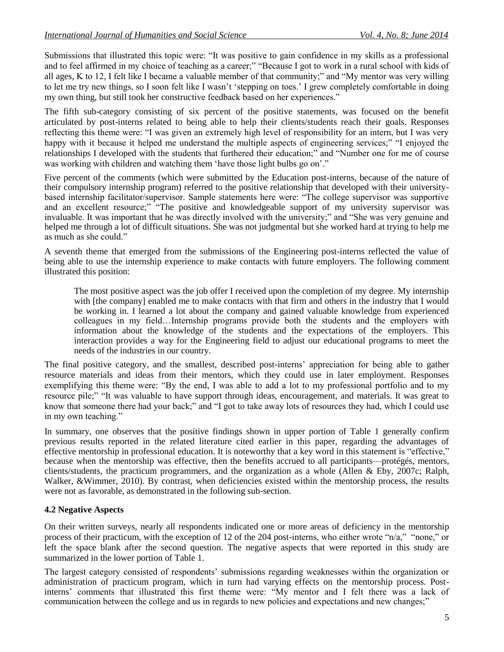Submissions that illustrated this topic were: "It was positive to gain confidence in my skills as a professional and to feel affirmed in my choice of teaching as a career;" "Because I got to work in a rural school with kids of all ages, K to 12, I felt like I became a valuable member of that community;" and "My mentor was very willing to let me try new things, so I soon felt like I wasn't 'stepping on toes.' I grew completely comfortable in doing my own thing, but still took her constructive feedback based on her experiences."

The fifth sub-category consisting of six percent of the positive statements, was focused on the benefit articulated by post-interns related to being able to help their clients/students reach their goals. Responses reflecting this theme were: "I was given an extremely high level of responsibility for an intern, but I was very happy with it because it helped me understand the multiple aspects of engineering services;" "I enjoyed the relationships I developed with the students that furthered their education;" and "Number one for me of course was working with children and watching them 'have those light bulbs go on'."

Five percent of the comments (which were submitted by the Education post-interns, because of the nature of their compulsory internship program) referred to the positive relationship that developed with their universitybased internship facilitator/supervisor. Sample statements here were: "The college supervisor was supportive and an excellent resource;" "The positive and knowledgeable support of my university supervisor was invaluable. It was important that he was directly involved with the university;" and "She was very genuine and helped me through a lot of difficult situations. She was not judgmental but she worked hard at trying to help me as much as she could."

A seventh theme that emerged from the submissions of the Engineering post-interns reflected the value of being able to use the internship experience to make contacts with future employers. The following comment illustrated this position:

The most positive aspect was the job offer I received upon the completion of my degree. My internship with [the company] enabled me to make contacts with that firm and others in the industry that I would be working in. I learned a lot about the company and gained valuable knowledge from experienced colleagues in my field…Internship programs provide both the students and the employers with information about the knowledge of the students and the expectations of the employers. This interaction provides a way for the Engineering field to adjust our educational programs to meet the needs of the industries in our country.

The final positive category, and the smallest, described post-interns' appreciation for being able to gather resource materials and ideas from their mentors, which they could use in later employment. Responses exemplifying this theme were: "By the end, I was able to add a lot to my professional portfolio and to my resource pile;" "It was valuable to have support through ideas, encouragement, and materials. It was great to know that someone there had your back;" and "I got to take away lots of resources they had, which I could use in my own teaching."

In summary, one observes that the positive findings shown in upper portion of Table 1 generally confirm previous results reported in the related literature cited earlier in this paper, regarding the advantages of effective mentorship in professional education. It is noteworthy that a key word in this statement is "effective," because when the mentorship was effective, then the benefits accrued to all participants—protégés, mentors, clients/students, the practicum programmers, and the organization as a whole (Allen & Eby, 2007c; Ralph, Walker, &Wimmer, 2010). By contrast, when deficiencies existed within the mentorship process, the results were not as favorable, as demonstrated in the following sub-section.

## **4.2 Negative Aspects**

On their written surveys, nearly all respondents indicated one or more areas of deficiency in the mentorship process of their practicum, with the exception of 12 of the 204 post-interns, who either wrote "n/a," "none," or left the space blank after the second question. The negative aspects that were reported in this study are summarized in the lower portion of Table 1.

The largest category consisted of respondents' submissions regarding weaknesses within the organization or administration of practicum program, which in turn had varying effects on the mentorship process. Postinterns' comments that illustrated this first theme were: "My mentor and I felt there was a lack of communication between the college and us in regards to new policies and expectations and new changes;"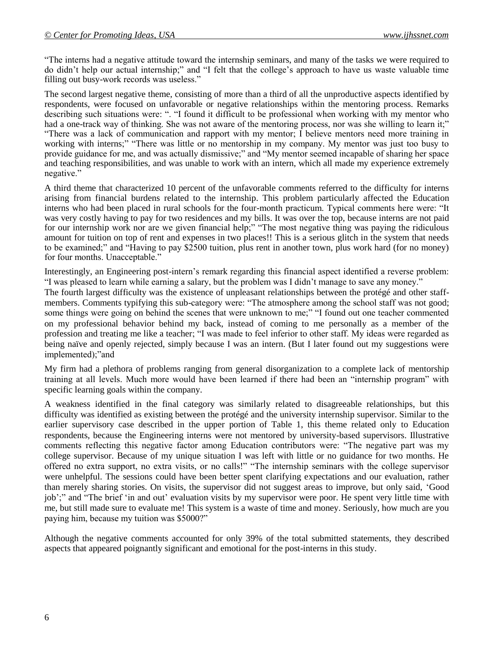"The interns had a negative attitude toward the internship seminars, and many of the tasks we were required to do didn't help our actual internship;" and "I felt that the college's approach to have us waste valuable time filling out busy-work records was useless."

The second largest negative theme, consisting of more than a third of all the unproductive aspects identified by respondents, were focused on unfavorable or negative relationships within the mentoring process. Remarks describing such situations were: ". "I found it difficult to be professional when working with my mentor who had a one-track way of thinking. She was not aware of the mentoring process, nor was she willing to learn it;" "There was a lack of communication and rapport with my mentor; I believe mentors need more training in working with interns;" "There was little or no mentorship in my company. My mentor was just too busy to provide guidance for me, and was actually dismissive;" and "My mentor seemed incapable of sharing her space and teaching responsibilities, and was unable to work with an intern, which all made my experience extremely negative."

A third theme that characterized 10 percent of the unfavorable comments referred to the difficulty for interns arising from financial burdens related to the internship. This problem particularly affected the Education interns who had been placed in rural schools for the four-month practicum. Typical comments here were: "It was very costly having to pay for two residences and my bills. It was over the top, because interns are not paid for our internship work nor are we given financial help;" "The most negative thing was paying the ridiculous amount for tuition on top of rent and expenses in two places!! This is a serious glitch in the system that needs to be examined;" and "Having to pay \$2500 tuition, plus rent in another town, plus work hard (for no money) for four months. Unacceptable."

Interestingly, an Engineering post-intern's remark regarding this financial aspect identified a reverse problem: "I was pleased to learn while earning a salary, but the problem was I didn't manage to save any money."

The fourth largest difficulty was the existence of unpleasant relationships between the protégé and other staffmembers. Comments typifying this sub-category were: "The atmosphere among the school staff was not good; some things were going on behind the scenes that were unknown to me;" "I found out one teacher commented on my professional behavior behind my back, instead of coming to me personally as a member of the profession and treating me like a teacher; "I was made to feel inferior to other staff. My ideas were regarded as being naïve and openly rejected, simply because I was an intern. (But I later found out my suggestions were implemented);"and

My firm had a plethora of problems ranging from general disorganization to a complete lack of mentorship training at all levels. Much more would have been learned if there had been an "internship program" with specific learning goals within the company.

A weakness identified in the final category was similarly related to disagreeable relationships, but this difficulty was identified as existing between the protégé and the university internship supervisor. Similar to the earlier supervisory case described in the upper portion of Table 1, this theme related only to Education respondents, because the Engineering interns were not mentored by university-based supervisors. Illustrative comments reflecting this negative factor among Education contributors were: "The negative part was my college supervisor. Because of my unique situation I was left with little or no guidance for two months. He offered no extra support, no extra visits, or no calls!" "The internship seminars with the college supervisor were unhelpful. The sessions could have been better spent clarifying expectations and our evaluation, rather than merely sharing stories. On visits, the supervisor did not suggest areas to improve, but only said, 'Good job';" and "The brief 'in and out' evaluation visits by my supervisor were poor. He spent very little time with me, but still made sure to evaluate me! This system is a waste of time and money. Seriously, how much are you paying him, because my tuition was \$5000?"

Although the negative comments accounted for only 39% of the total submitted statements, they described aspects that appeared poignantly significant and emotional for the post-interns in this study.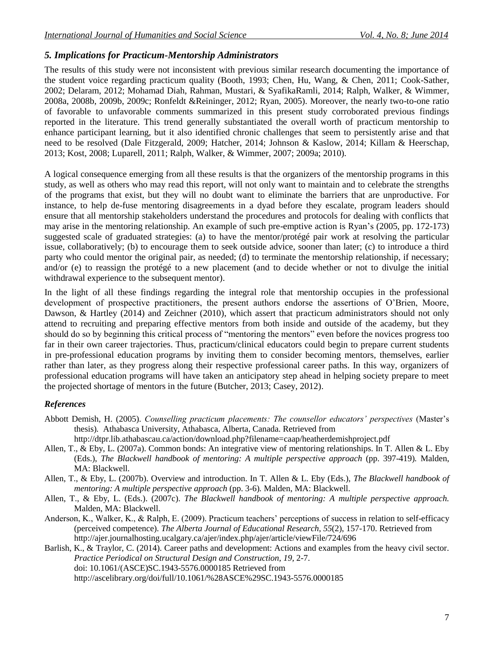## *5. Implications for Practicum-Mentorship Administrators*

The results of this study were not inconsistent with previous similar research documenting the importance of the student voice regarding practicum quality (Booth, 1993; Chen, Hu, Wang, & Chen, 2011; Cook-Sather, 2002; Delaram, 2012; Mohamad Diah, Rahman, Mustari, & SyafikaRamli, 2014; Ralph, Walker, & Wimmer, 2008a, 2008b, 2009b, 2009c; Ronfeldt &Reininger, 2012; Ryan, 2005). Moreover, the nearly two-to-one ratio of favorable to unfavorable comments summarized in this present study corroborated previous findings reported in the literature. This trend generally substantiated the overall worth of practicum mentorship to enhance participant learning, but it also identified chronic challenges that seem to persistently arise and that need to be resolved (Dale Fitzgerald, 2009; Hatcher, 2014; Johnson & Kaslow, 2014; Killam & Heerschap, 2013; Kost, 2008; Luparell, 2011; Ralph, Walker, & Wimmer, 2007; 2009a; 2010).

A logical consequence emerging from all these results is that the organizers of the mentorship programs in this study, as well as others who may read this report, will not only want to maintain and to celebrate the strengths of the programs that exist, but they will no doubt want to eliminate the barriers that are unproductive. For instance, to help de-fuse mentoring disagreements in a dyad before they escalate, program leaders should ensure that all mentorship stakeholders understand the procedures and protocols for dealing with conflicts that may arise in the mentoring relationship. An example of such pre-emptive action is Ryan's (2005, pp. 172-173) suggested scale of graduated strategies: (a) to have the mentor/protégé pair work at resolving the particular issue, collaboratively; (b) to encourage them to seek outside advice, sooner than later; (c) to introduce a third party who could mentor the original pair, as needed; (d) to terminate the mentorship relationship, if necessary; and/or (e) to reassign the protégé to a new placement (and to decide whether or not to divulge the initial withdrawal experience to the subsequent mentor).

In the light of all these findings regarding the integral role that mentorship occupies in the professional development of prospective practitioners, the present authors endorse the assertions of O'Brien, Moore, Dawson, & Hartley (2014) and Zeichner (2010), which assert that practicum administrators should not only attend to recruiting and preparing effective mentors from both inside and outside of the academy, but they should do so by beginning this critical process of "mentoring the mentors" even before the novices progress too far in their own career trajectories. Thus, practicum/clinical educators could begin to prepare current students in pre-professional education programs by inviting them to consider becoming mentors, themselves, earlier rather than later, as they progress along their respective professional career paths. In this way, organizers of professional education programs will have taken an anticipatory step ahead in helping society prepare to meet the projected shortage of mentors in the future (Butcher, 2013; Casey, 2012).

## *References*

- Abbott Demish, H. (2005). *Counselling practicum placements: The counsellor educators' perspectives* (Master's thesis)*.* Athabasca University, Athabasca, Alberta, Canada. Retrieved from
	- <http://dtpr.lib.athabascau.ca/action/download.php?filename=caap/heatherdemishproject.pdf>
- Allen, T., & Eby, L. (2007a). Common bonds: An integrative view of mentoring relationships. In T. Allen & L. Eby (Eds.), *The Blackwell handbook of mentoring: A multiple perspective approach* (pp. 397-419)*.* Malden, MA: Blackwell.
- Allen, T., & Eby, L. (2007b). Overview and introduction. In T. Allen & L. Eby (Eds.), *The Blackwell handbook of mentoring: A multiple perspective approach* (pp. 3-6). Malden, MA: Blackwell.
- Allen, T., & Eby, L. (Eds.). (2007c). *The Blackwell handbook of mentoring: A multiple perspective approach.* Malden, MA: Blackwell.
- Anderson, K., Walker, K., & Ralph, E. (2009). Practicum teachers' perceptions of success in relation to self-efficacy (perceived competence). *The Alberta Journal of Educational Research, 55*(2), 157-170. Retrieved from <http://ajer.journalhosting.ucalgary.ca/ajer/index.php/ajer/article/viewFile/724/696>
- Barlish, K., & Traylor, C. (2014). Career paths and development: Actions and examples from the heavy civil sector. *[Practice Periodical on Structural Design and Construction,](http://ascelibrary.org/journal/ppscfx) 19,* 2-7. doi: 10.1061/(ASCE)SC.1943-5576.0000185 Retrieved from <http://ascelibrary.org/doi/full/10.1061/%28ASCE%29SC.1943-5576.0000185>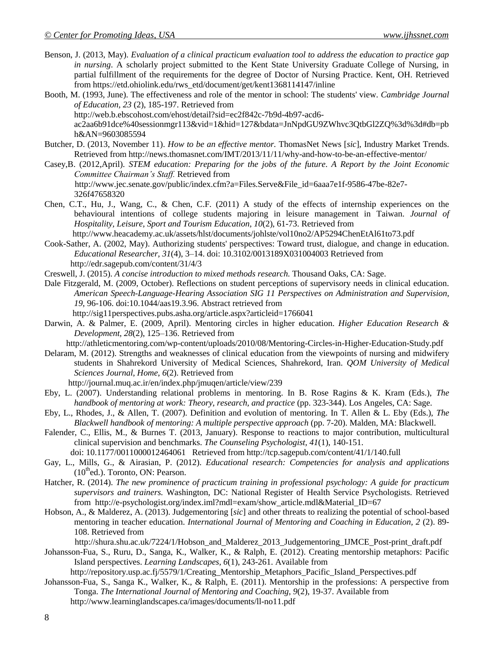- Benson, J. (2013, May). *Evaluation of a clinical practicum evaluation tool to address the education to practice gap in nursing*. A scholarly project submitted to the Kent State University Graduate College of Nursing, in partial fulfillment of the requirements for the degree of Doctor of Nursing Practice. Kent, OH. Retrieved from [https://etd.ohiolink.edu/rws\\_etd/document/get/kent1368114147/inline](https://etd.ohiolink.edu/rws_etd/document/get/kent1368114147/inline)
- Booth, M. (1993, June). The effectiveness and role of the mentor in school: The students' view. *Cambridge Journal of Education, 23* (2), 185-197. Retrieved from [http://web.b.ebscohost.com/ehost/detail?sid=ec2f842c-7b9d-4b97-acd6](http://web.b.ebscohost.com/ehost/detail?sid=ec2f842c-7b9d-4b97-acd6-ac2aa6b91dce%40sessionmgr113&vid=1&hid=127&bdata=JnNpdGU9ZWhvc3QtbGl2ZQ%3d%3d#db=pbh&AN=9603085594) [ac2aa6b91dce%40sessionmgr113&vid=1&hid=127&bdata=JnNpdGU9ZWhvc3QtbGl2ZQ%3d%3d#db=pb](http://web.b.ebscohost.com/ehost/detail?sid=ec2f842c-7b9d-4b97-acd6-ac2aa6b91dce%40sessionmgr113&vid=1&hid=127&bdata=JnNpdGU9ZWhvc3QtbGl2ZQ%3d%3d#db=pbh&AN=9603085594) [h&AN=9603085594](http://web.b.ebscohost.com/ehost/detail?sid=ec2f842c-7b9d-4b97-acd6-ac2aa6b91dce%40sessionmgr113&vid=1&hid=127&bdata=JnNpdGU9ZWhvc3QtbGl2ZQ%3d%3d#db=pbh&AN=9603085594)
- Butcher, D. (2013, November 11). *How to be an effective mentor.* ThomasNet News [*sic*], Industry Market Trends. Retrieved from <http://news.thomasnet.com/IMT/2013/11/11/why-and-how-to-be-an-effective-mentor/>
- Casey,B. (2012,April). *STEM education: Preparing for the jobs of the future*. *A Report by the Joint Economic Committee Chairman's Staff.* Retrieved from [http://www.jec.senate.gov/public/index.cfm?a=Files.Serve&File\\_id=6aaa7e1f-9586-47be-82e7-](http://www.jec.senate.gov/public/index.cfm?a=Files.Serve&File_id=6aaa7e1f-9586-47be-82e7-326f47658320)

[326f47658320](http://www.jec.senate.gov/public/index.cfm?a=Files.Serve&File_id=6aaa7e1f-9586-47be-82e7-326f47658320)

Chen, C.T., Hu, J., Wang, C., & Chen, C.F. (2011) A study of the effects of internship experiences on the behavioural intentions of college students majoring in leisure management in Taiwan. *Journal of Hospitality, Leisure, Sport and Tourism Education, 10*(2), 61-73. Retrieved from <http://www.heacademy.ac.uk/assets/hlst/documents/johlste/vol10no2/AP5294ChenEtAl61to73.pdf>

Cook-Sather, A. (2002, May). Authorizing students' perspectives: Toward trust, dialogue, and change in education.

- *Educational Researcher, 31*(4), 3–14. doi: 10.3102/0013189X031004003 Retrieved from <http://edr.sagepub.com/content/31/4/3>
- Creswell, J. (2015). *A concise introduction to mixed methods research.* Thousand Oaks, CA: Sage.
- [Dale Fitzgerald,](http://sig11perspectives.pubs.asha.org/solr/searchResults.aspx?author=Mary+Dale+T.+Fitzgerald) M. (2009, October). Reflections on student perceptions of supervisory needs in clinical education. *American Speech-Language-Hearing Association SIG 11 Perspectives on Administration and Supervision, 19*, 96-106. doi:10.1044/aas19.3.96. Abstract retrieved from
	- <http://sig11perspectives.pubs.asha.org/article.aspx?articleid=1766041>
- Darwin, A. & Palmer, E. (2009, April). Mentoring circles in higher education. *Higher Education Research & Development, 28*(2), 125–136. Retrieved from

<http://athleticmentoring.com/wp-content/uploads/2010/08/Mentoring-Circles-in-Higher-Education-Study.pdf>

- Delaram, M. (2012). Strengths and weaknesses of clinical education from the viewpoints of nursing and midwifery students in Shahrekord University of Medical Sciences, Shahrekord, Iran. *QOM University of Medical Sciences Journal, Home*, *6*(2). Retrieved from
	- <http://journal.muq.ac.ir/en/index.php/jmuqen/article/view/239>
- Eby, L. (2007). Understanding relational problems in mentoring. In B. Rose Ragins & K. Kram (Eds.), *The handbook of mentoring at work: Theory, research, and practice* (pp. 323-344). Los Angeles, CA: Sage.
- Eby, L., Rhodes, J., & Allen, T. (2007). Definition and evolution of mentoring. In T. Allen & L. Eby (Eds.), *The Blackwell handbook of mentoring: A multiple perspective approach* (pp. 7-20). Malden, MA: Blackwell.
- Falender, C., Ellis, M., & Burnes T. (2013, January). Response to reactions to major contribution, multicultural clinical supervision and benchmarks. *The Counseling Psychologist, 41*(1), 140-151.

doi: 10.1177/0011000012464061 Retrieved from<http://tcp.sagepub.com/content/41/1/140.full>

- Gay, L., Mills, G., & Airasian, P. (2012). *Educational research: Competencies for analysis and applications*   $(10<sup>th</sup>$ ed.). Toronto, ON: Pearson.
- Hatcher, R. (2014). *The new prominence of practicum training in professional psychology: A guide for practicum supervisors and trainers.* Washington, DC: National Register of Health Service Psychologists. Retrieved from [http://e-psychologist.org/index.iml?mdl=exam/show\\_article.mdl&Material\\_ID=67](http://e-psychologist.org/index.iml?mdl=exam/show_article.mdl&Material_ID=67)
- Hobson, A., & Malderez, A. (2013). Judgementoring [*sic*] and other threats to realizing the potential of school-based mentoring in teacher education. *International Journal of Mentoring and Coaching in Education, 2* (2). 89- 108. Retrieved from

[http://shura.shu.ac.uk/7224/1/Hobson\\_and\\_Malderez\\_2013\\_Judgementoring\\_IJMCE\\_Post-print\\_draft.pdf](http://shura.shu.ac.uk/7224/1/Hobson_and_Malderez_2013_Judgementoring_IJMCE_Post-print_draft.pdf)

- Johansson-Fua, S., Ruru, D., Sanga, K., Walker, K., & Ralph, E. (2012). Creating mentorship metaphors: Pacific Island perspectives. *Learning Landscapes, 6*(1), 243-261. Available from
- [http://repository.usp.ac.fj/5579/1/Creating\\_Mentorship\\_Metaphors\\_Pacific\\_Island\\_Perspectives.pdf](http://repository.usp.ac.fj/5579/1/Creating_Mentorship_Metaphors_Pacific_Island_Perspectives.pdf)
- Johansson-Fua, S., Sanga K., Walker, K., & Ralph, E. (2011). Mentorship in the professions: A perspective from Tonga. *The International Journal of Mentoring and Coaching, 9*(2), 19-37. Available from <http://www.learninglandscapes.ca/images/documents/ll-no11.pdf>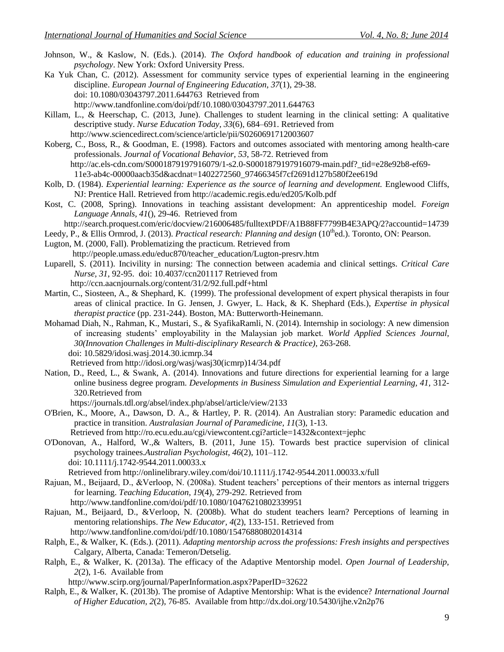- Johnson, W., & Kaslow, N. (Eds.). (2014). *The Oxford handbook of education and training in professional psychology*. New York: Oxford University Press.
- Ka Yuk Chan, C. (2012). Assessment for community service types of experiential learning in the engineering discipline. *European Journal of Engineering Education, 37*(1), 29-38. doi: 10.1080/03043797.2011.644763 Retrieved from <http://www.tandfonline.com/doi/pdf/10.1080/03043797.2011.644763>
- Killam, L., & Heerschap, C. (2013, June). Challenges to student learning in the clinical setting: A qualitative descriptive study. *[Nurse Education Today,](http://www.sciencedirect.com/science/journal/02606917) [33](http://www.sciencedirect.com/science/journal/02606917/33/6)*(6), 684–691. Retrieved from <http://www.sciencedirect.com/science/article/pii/S0260691712003607>
- Koberg, C., Boss, R., & Goodman, E. (1998). Factors and outcomes associated with mentoring among health-care professionals. *Journal of Vocational Behavior, 53*, 58-72. Retrieved from [http://ac.els-cdn.com/S0001879197916079/1-s2.0-S0001879197916079-main.pdf?\\_tid=e28e92b8-ef69-](http://ac.els-cdn.com/S0001879197916079/1-s2.0-S0001879197916079-main.pdf?_tid=e28e92b8-ef69-11e3-ab4c-00000aacb35d&acdnat=1402272560_97466345f7cf2691d127b580f2ee619d)

[11e3-ab4c-00000aacb35d&acdnat=1402272560\\_97466345f7cf2691d127b580f2ee619d](http://ac.els-cdn.com/S0001879197916079/1-s2.0-S0001879197916079-main.pdf?_tid=e28e92b8-ef69-11e3-ab4c-00000aacb35d&acdnat=1402272560_97466345f7cf2691d127b580f2ee619d)

- Kolb, D. (1984). *Experiential learning: Experience as the source of learning and development*. Englewood Cliffs, NJ: Prentice Hall. Retrieved from <http://academic.regis.edu/ed205/Kolb.pdf>
- Kost, C. (2008, Spring). Innovations in teaching assistant development: An apprenticeship model. *Foreign Language Annals, 41*(), 29-46. Retrieved from
	- <http://search.proquest.com/eric/docview/216006485/fulltextPDF/A1B88FF7799B4E3APQ/2?accountid=14739>
- Leedy, P., & Ellis Ormrod, J. (2013). *Practical research: Planning and design* (10<sup>th</sup>ed.). Toronto, ON: Pearson.
- Lugton, M. (2000, Fall). Problematizing the practicum. Retrieved from
- [http://people.umass.edu/educ870/teacher\\_education/Lugton-presrv.htm](http://people.umass.edu/educ870/teacher_education/Lugton-presrv.htm)
- Luparell, S. (2011). Incivility in nursing: The connection between academia and clinical settings. *Critical Care Nurse, 31*, 92-95. doi: 10.4037/ccn201117 Retrieved from
	- <http://ccn.aacnjournals.org/content/31/2/92.full.pdf+html>
- Martin, C., Siosteen, A., & Shephard, K. (1999). The professional development of expert physical therapists in four areas of clinical practice. In G. Jensen, J. Gwyer, L. Hack, & K. Shephard (Eds.), *Expertise in physical therapist practice* (pp. 231-244). Boston, MA: Butterworth-Heinemann.
- Mohamad Diah, N., Rahman, K., Mustari, S., & SyafikaRamli, N. (2014). Internship in sociology: A new dimension of increasing students' employability in the Malaysian job market. *World Applied Sciences Journal, 30(Innovation Challenges in Multi-disciplinary Research & Practice)*, 263-268. doi: 10.5829/idosi.wasj.2014.30.icmrp.34
	- Retrieved from [http://idosi.org/wasj/wasj30\(icmrp\)14/34.pdf](http://idosi.org/wasj/wasj30(icmrp)14/34.pdf)
- Nation, D., Reed, L., & Swank, A. (2014). Innovations and future directions for experiential learning for a large online business degree program. *Developments in Business Simulation and Experiential Learning, 41, 312-*320.Retrieved from
	- <https://journals.tdl.org/absel/index.php/absel/article/view/2133>
- O'Brien, K., Moore, A., Dawson, D. A., & Hartley, P. R. (2014). An Australian story: Paramedic education and practice in transition. *Australasian Journal of Paramedicine, 11*(3), 1-13.
	- Retrieved from<http://ro.ecu.edu.au/cgi/viewcontent.cgi?article=1432&context=jephc>
- O'Donovan, A., Halford, W.,& Walters, B. (2011, June 15). Towards best practice supervision of clinical psychology trainees.*Australian Psychologist, 46*(2), 101–112. doi: 10.1111/j.1742-9544.2011.00033.x

Retrieved from<http://onlinelibrary.wiley.com/doi/10.1111/j.1742-9544.2011.00033.x/full>

- Rajuan, M., Beijaard, D., &Verloop, N. (2008a). Student teachers' perceptions of their mentors as internal triggers for learning. *Teaching Education, 19*(4), 279-292. Retrieved from <http://www.tandfonline.com/doi/pdf/10.1080/10476210802339951>
- Rajuan, M., Beijaard, D., &Verloop, N. (2008b). What do student teachers learn? Perceptions of learning in mentoring relationships. *The New Educator, 4*(2), 133-151. Retrieved from <http://www.tandfonline.com/doi/pdf/10.1080/15476880802014314>
- Ralph, E., & Walker, K. (Eds.). (2011). *Adapting mentorship across the professions: Fresh insights and perspectives*  Calgary, Alberta, Canada: Temeron/Detselig.
- Ralph, E., & Walker, K. (2013a). The efficacy of the Adaptive Mentorship model. *Open Journal of Leadership, 2*(2), 1-6. Available from

<http://www.scirp.org/journal/PaperInformation.aspx?PaperID=32622>

Ralph, E., & Walker, K. (2013b). The promise of Adaptive Mentorship: What is the evidence? *International Journal of Higher Education, 2*(2), 76-85. Available from<http://dx.doi.org/10.5430/ijhe.v2n2p76>